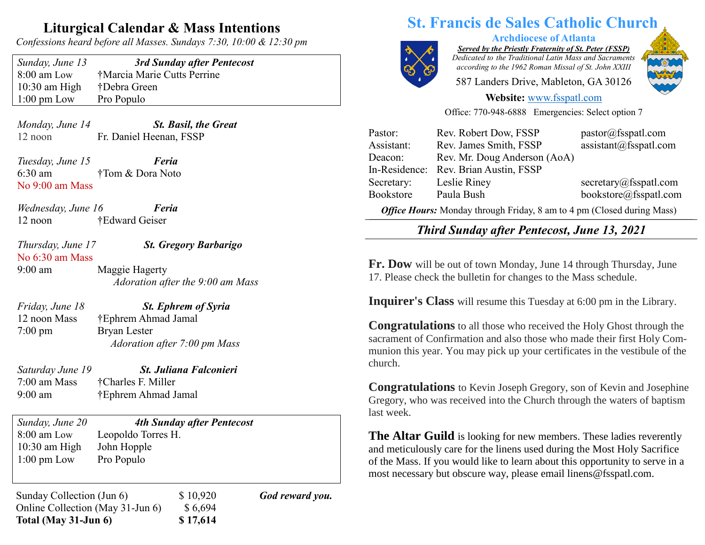## **Liturgical Calendar & Mass Intentions**

*Confessions heard before all Masses. Sundays 7:30, 10:00 & 12:30 pm*

| Sunday, June 13       | 3rd Sunday after Pentecost  |
|-----------------------|-----------------------------|
| $8:00$ am Low         | †Marcia Marie Cutts Perrine |
| $10:30$ am High       | †Debra Green                |
| $1:00 \text{ pm}$ Low | Pro Populo                  |

*Monday, June 14 St. Basil, the Great* 12 noon Fr. Daniel Heenan, FSSP

*Tuesday, June 15 Feria* 6:30 am †Tom & Dora Noto No 9:00 am Mass

*Wednesday, June 16 Feria* 12 noon †Edward Geiser

*Thursday, June 17 St. Gregory Barbarigo* No 6:30 am Mass

9:00 am Maggie Hagerty *Adoration after the 9:00 am Mass*

*Friday, June 18 St. Ephrem of Syria*

12 noon Mass †Ephrem Ahmad Jamal

7:00 pm Bryan Lester  *Adoration after 7:00 pm Mass*

7:00 am Mass †Charles F. Miller

*Saturday June 19 St. Juliana Falconieri* 9:00 am †Ephrem Ahmad Jamal

*Sunday, June 20 4th Sunday after Pentecost* 8:00 am Low Leopoldo Torres H. 10:30 am High John Hopple 1:00 pm Low Pro Populo

Sunday Collection (Jun 6)  $$ 10,920$  *God reward you.* Online Collection (May 31-Jun 6) \$ 6,694 **Total (May 31-Jun 6) \$ 17,614**

# **St. Francis de Sales Catholic Church**



**Archdiocese of Atlanta**

*Served by the Priestly Fraternity of St. Peter (FSSP) Dedicated to the Traditional Latin Mass and Sacraments according to the 1962 Roman Missal of St. John XXIII*

587 Landers Drive, Mableton, GA 30126



#### **Website:** [www.fsspatl.com](http://www.fsspatl.com/)

Office: 770-948-6888 Emergencies: Select option 7

| Pastor:                                                                | Rev. Robert Dow, FSSP        | pastor@fsspatl.com     |
|------------------------------------------------------------------------|------------------------------|------------------------|
| Assistant:                                                             | Rev. James Smith, FSSP       | assignment@fsspatl.com |
| Deacon:                                                                | Rev. Mr. Doug Anderson (AoA) |                        |
| In-Residence:                                                          | Rev. Brian Austin, FSSP      |                        |
| Secretary:                                                             | Leslie Riney                 | secretary@fsspath.com  |
| Bookstore                                                              | Paula Bush                   | bookstore@fsspatl.com  |
| Office Hours: Monday through Friday, 8 am to 4 pm (Closed during Mass) |                              |                        |

 $\overline{\phantom{a}}$ *Third Sunday after Pentecost, June 13, 2021 Third Sunday after 1 entecost, June 15, 2021* 

**Fr. Dow** will be out of town Monday, June 14 through Thursday, June 17. Please check the bulletin for changes to the Mass schedule.

**Inquirer's Class** will resume this Tuesday at 6:00 pm in the Library.

**Congratulations** to all those who received the Holy Ghost through the sacrament of Confirmation and also those who made their first Holy Communion this year. You may pick up your certificates in the vestibule of the church.

**Congratulations** to Kevin Joseph Gregory, son of Kevin and Josephine Gregory, who was received into the Church through the waters of baptism last week.

**The Altar Guild** is looking for new members. These ladies reverently and meticulously care for the linens used during the Most Holy Sacrifice of the Mass. If you would like to learn about this opportunity to serve in a most necessary but obscure way, please email linens@fsspatl.com.